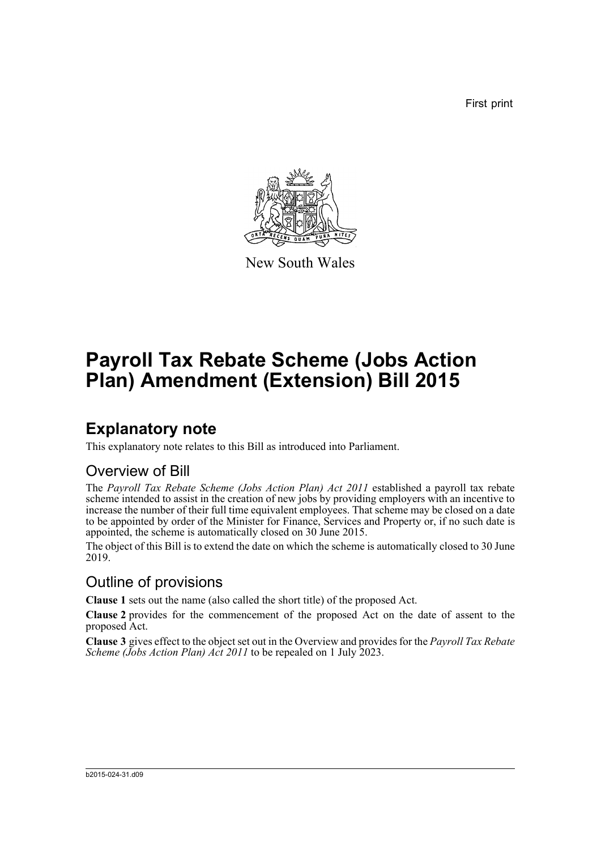First print



New South Wales

# **Payroll Tax Rebate Scheme (Jobs Action Plan) Amendment (Extension) Bill 2015**

### **Explanatory note**

This explanatory note relates to this Bill as introduced into Parliament.

#### Overview of Bill

The *Payroll Tax Rebate Scheme (Jobs Action Plan) Act 2011* established a payroll tax rebate scheme intended to assist in the creation of new jobs by providing employers with an incentive to increase the number of their full time equivalent employees. That scheme may be closed on a date to be appointed by order of the Minister for Finance, Services and Property or, if no such date is appointed, the scheme is automatically closed on 30 June 2015.

The object of this Bill is to extend the date on which the scheme is automatically closed to 30 June 2019.

#### Outline of provisions

**Clause 1** sets out the name (also called the short title) of the proposed Act.

**Clause 2** provides for the commencement of the proposed Act on the date of assent to the proposed Act.

**Clause 3** gives effect to the object set out in the Overview and provides for the *Payroll Tax Rebate Scheme (Jobs Action Plan) Act 2011* to be repealed on 1 July 2023.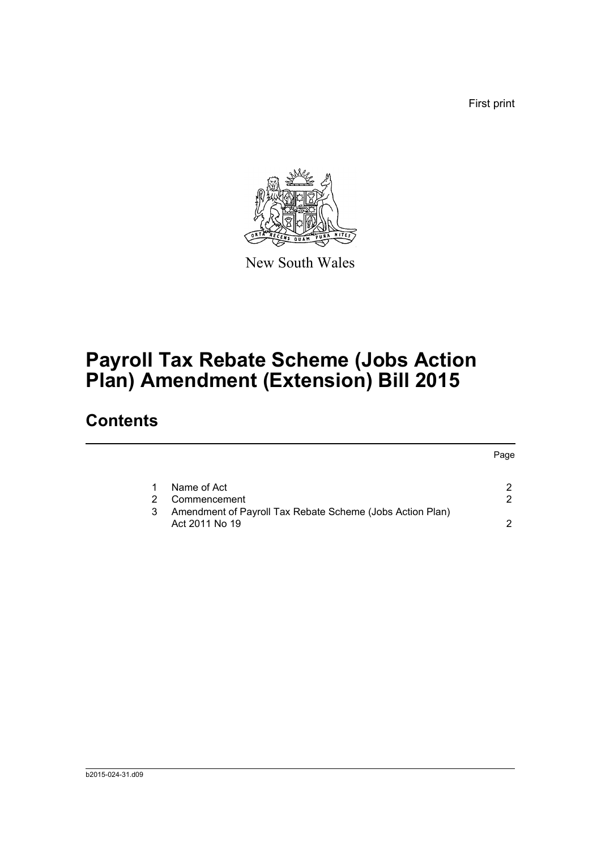First print



New South Wales

# **Payroll Tax Rebate Scheme (Jobs Action Plan) Amendment (Extension) Bill 2015**

## **Contents**

|   |                                                           | Page |
|---|-----------------------------------------------------------|------|
|   |                                                           |      |
|   | Name of Act                                               |      |
|   | Commencement                                              | 2    |
| 3 | Amendment of Payroll Tax Rebate Scheme (Jobs Action Plan) |      |
|   | Act 2011 No 19                                            | ົ    |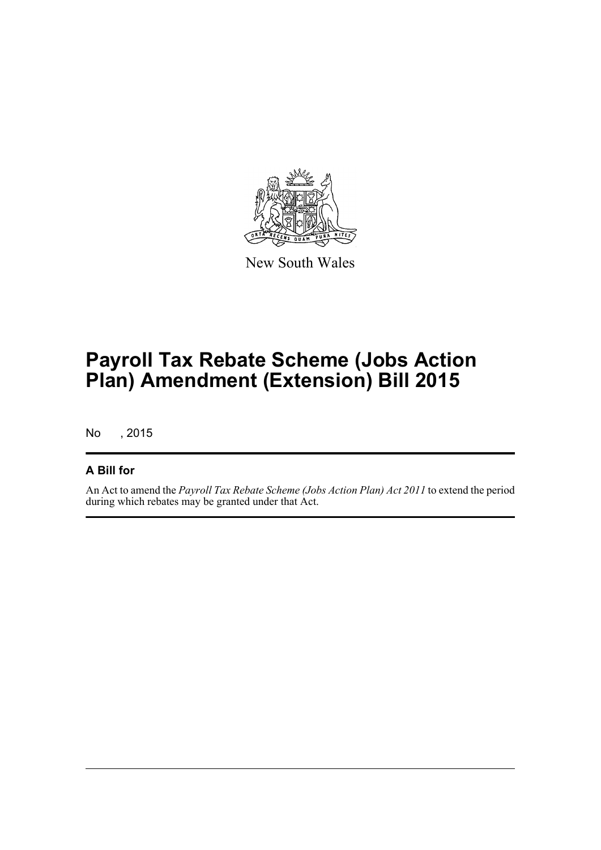

New South Wales

# **Payroll Tax Rebate Scheme (Jobs Action Plan) Amendment (Extension) Bill 2015**

No , 2015

#### **A Bill for**

An Act to amend the *Payroll Tax Rebate Scheme (Jobs Action Plan) Act 2011* to extend the period during which rebates may be granted under that Act.